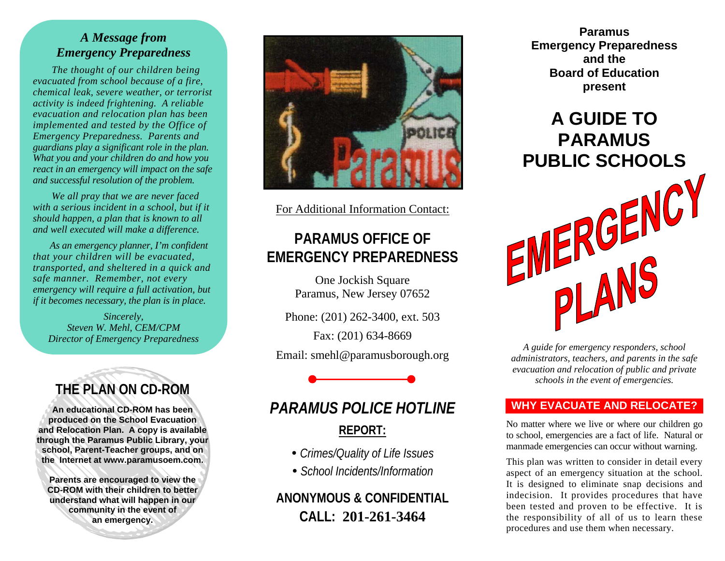### *A Message from Emergency Preparedness*

 *The thought of our children being evacuated from school because of a fire, chemical leak, severe weather, or terrorist activity is indeed frightening. A reliable evacuation and relocation plan has been implemented and tested by the Office of Emergency Preparedness. Parents and guardians play a significant role in the plan. What you and your children do and how you react in an emergency will impact on the safe and successful resolution of the problem.* 

*We all pray that we are never faced with a serious incident in a school, but if it should happen, a plan that is known to all and well executed will make a difference.* 

 *As an emergency planner, I'm confident that your children will be evacuated, transported, and sheltered in a quick and safe manner. Remember, not every emergency will require a full activation, but if it becomes necessary, the plan is in place.* 

*Sincerely, Steven W. Mehl, CEM/CPM Director of Emergency Preparedness*

# **THE PLAN ON CD-ROM**

**An educational CD-ROM has been produced on the School Evacuation and Relocation Plan. A copy is available through the Paramus Public Library, your school, Parent-Teacher groups, and on the Internet at www.paramusoem.com.** 

**Parents are encouraged to view the CD-ROM with their children to better understand what will happen in our community in the event of an emergency.**



For Additional Information Contact:

# **PARAMUS OFFICE OF EMERGENCY PREPAREDNESS**

One Jockish Square Paramus, New Jersey 07652

Phone: (201) 262-3400, ext. 503

Fax: (201) 634-8669 Email: smehl@paramusborough.org

# *PARAMUS POLICE HOTLINE***REPORT:**

- y *Crimes/Quality of Life Issues*
- y *School Incidents/Information*

## **ANONYMOUS & CONFIDENTIAL CALL: 201-261-3464**

**Paramus Emergency Preparedness and the Board of Education present**

# **A GUIDE TO PARAMUS PUBLIC SCHOOLS**



*A guide for emergency responders, school administrators, teachers, and parents in the safe evacuation and relocation of public and private schools in the event of emergencies.* 

### **WHY EVACUATE AND RELOCATE?**

No matter where we live or where our children go to school, emergencies are a fact of life. Natural or manmade emergencies can occur without warning.

This plan was written to consider in detail every aspect of an emergency situation at the school. It is designed to eliminate snap decisions and indecision. It provides procedures that have been tested and proven to be effective. It is the responsibility of all of us to learn these procedures and use them when necessary.